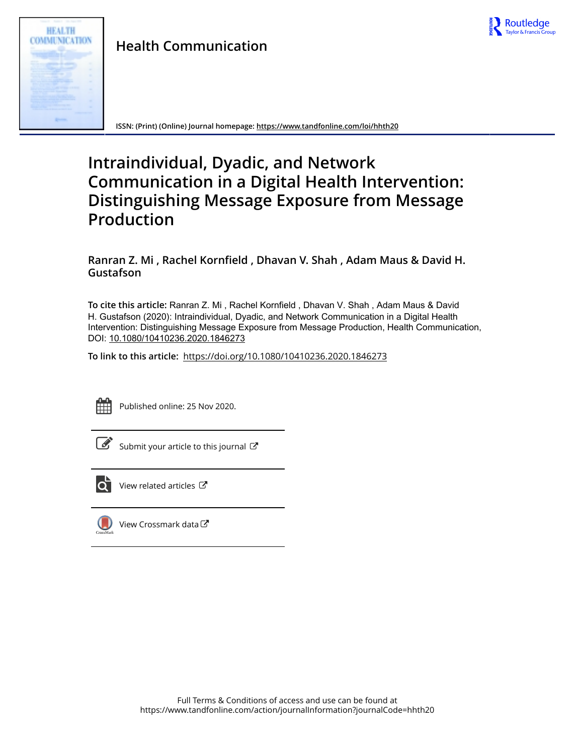



**ISSN: (Print) (Online) Journal homepage:<https://www.tandfonline.com/loi/hhth20>**

# **Intraindividual, Dyadic, and Network Communication in a Digital Health Intervention: Distinguishing Message Exposure from Message Production**

**Ranran Z. Mi , Rachel Kornfield , Dhavan V. Shah , Adam Maus & David H. Gustafson**

**To cite this article:** Ranran Z. Mi , Rachel Kornfield , Dhavan V. Shah , Adam Maus & David H. Gustafson (2020): Intraindividual, Dyadic, and Network Communication in a Digital Health Intervention: Distinguishing Message Exposure from Message Production, Health Communication, DOI: [10.1080/10410236.2020.1846273](https://www.tandfonline.com/action/showCitFormats?doi=10.1080/10410236.2020.1846273)

**To link to this article:** <https://doi.org/10.1080/10410236.2020.1846273>



Published online: 25 Nov 2020.

 $\overrightarrow{S}$  [Submit your article to this journal](https://www.tandfonline.com/action/authorSubmission?journalCode=hhth20&show=instructions)  $\overrightarrow{S}$ 



 $\overrightarrow{Q}$  [View related articles](https://www.tandfonline.com/doi/mlt/10.1080/10410236.2020.1846273)  $\overrightarrow{C}$ 



 $\Box$  [View Crossmark data](http://crossmark.crossref.org/dialog/?doi=10.1080/10410236.2020.1846273&domain=pdf&date_stamp=2020-11-25) $\Box$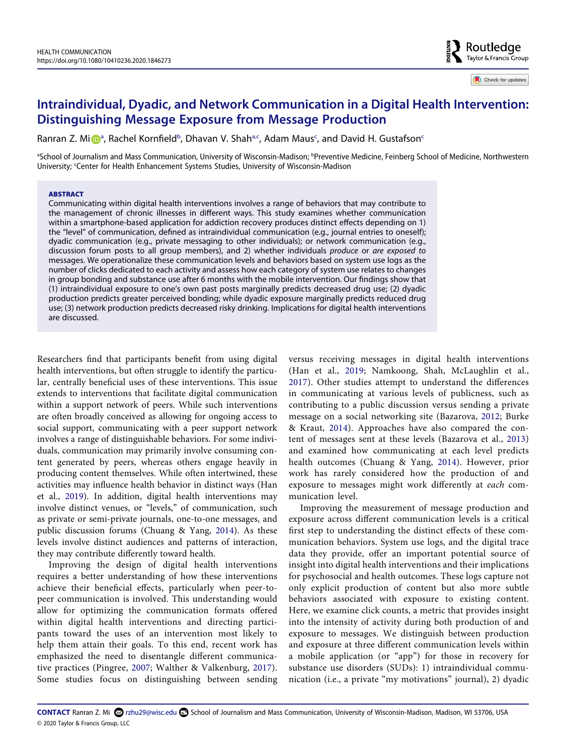# **Intraindividual, Dyadic, and Network Communication in a Digital Health Intervention: Distinguishing Message Exposure from Message Production**

R[a](#page-1-0)nran Z. Mi D<sup>a</sup>, Rachel Kornfield<sup>[b](#page-1-0)</sup>, D[ha](#page-1-0)van V. Shah<sup>a[,c](#page-1-1)</sup>, Adam Maus<sup>[c](#page-1-1)</sup>, and David H. Gustafson<sup>c</sup>

<span id="page-1-1"></span><span id="page-1-0"></span>aSchool of Journalism and Mass Communication, University of Wisconsin-Madison; <sup>b</sup>Preventive Medicine, Feinberg School of Medicine, Northwestern University; Center for Health Enhancement Systems Studies, University of Wisconsin-Madison

# **ABSTRACT**

Communicating within digital health interventions involves a range of behaviors that may contribute to the management of chronic illnesses in different ways. This study examines whether communication within a smartphone-based application for addiction recovery produces distinct effects depending on 1) the "level" of communication, defined as intraindividual communication (e.g., journal entries to oneself); dyadic communication (e.g., private messaging to other individuals); or network communication (e.g., discussion forum posts to all group members), and 2) whether individuals *produce* or *are exposed to*  messages. We operationalize these communication levels and behaviors based on system use logs as the number of clicks dedicated to each activity and assess how each category of system use relates to changes in group bonding and substance use after 6 months with the mobile intervention. Our findings show that (1) intraindividual exposure to one's own past posts marginally predicts decreased drug use; (2) dyadic production predicts greater perceived bonding; while dyadic exposure marginally predicts reduced drug use; (3) network production predicts decreased risky drinking. Implications for digital health interventions are discussed.

Researchers find that participants benefit from using digital health interventions, but often struggle to identify the particular, centrally beneficial uses of these interventions. This issue extends to interventions that facilitate digital communication within a support network of peers. While such interventions are often broadly conceived as allowing for ongoing access to social support, communicating with a peer support network involves a range of distinguishable behaviors. For some individuals, communication may primarily involve consuming content generated by peers, whereas others engage heavily in producing content themselves. While often intertwined, these activities may influence health behavior in distinct ways (Han et al., [2019\)](#page-10-0). In addition, digital health interventions may involve distinct venues, or "levels," of communication, such as private or semi-private journals, one-to-one messages, and public discussion forums (Chuang & Yang, [2014](#page-10-1)). As these levels involve distinct audiences and patterns of interaction, they may contribute differently toward health.

Improving the design of digital health interventions requires a better understanding of how these interventions achieve their beneficial effects, particularly when peer-topeer communication is involved. This understanding would allow for optimizing the communication formats offered within digital health interventions and directing participants toward the uses of an intervention most likely to help them attain their goals. To this end, recent work has emphasized the need to disentangle different communicative practices (Pingree, [2007;](#page-11-0) Walther & Valkenburg, [2017](#page-12-0)). Some studies focus on distinguishing between sending <span id="page-1-6"></span><span id="page-1-4"></span><span id="page-1-2"></span>versus receiving messages in digital health interventions (Han et al., [2019;](#page-10-0) Namkoong, Shah, McLaughlin et al., [2017\)](#page-11-1). Other studies attempt to understand the differences in communicating at various levels of publicness, such as contributing to a public discussion versus sending a private message on a social networking site (Bazarova, [2012;](#page-9-0) Burke & Kraut, [2014\)](#page-10-2). Approaches have also compared the content of messages sent at these levels (Bazarova et al., [2013\)](#page-9-1) and examined how communicating at each level predicts health outcomes (Chuang & Yang, [2014\)](#page-10-1). However, prior work has rarely considered how the production of and exposure to messages might work differently at *each* communication level.

Routledge Taylor & Francis Group

Check for updates

<span id="page-1-5"></span><span id="page-1-3"></span>Improving the measurement of message production and exposure across different communication levels is a critical first step to understanding the distinct effects of these communication behaviors. System use logs, and the digital trace data they provide, offer an important potential source of insight into digital health interventions and their implications for psychosocial and health outcomes. These logs capture not only explicit production of content but also more subtle behaviors associated with exposure to existing content. Here, we examine click counts, a metric that provides insight into the intensity of activity during both production of and exposure to messages. We distinguish between production and exposure at three different communication levels within a mobile application (or "app") for those in recovery for substance use disorders (SUDs): 1) intraindividual communication (i.e., a private "my motivations" journal), 2) dyadic

<span id="page-1-7"></span>CONTACT Ranran Z. Mi ۞ rzhu29@wisc.edu **S** School of Journalism and Mass Communication, University of Wisconsin-Madison, Madison, WI 53706, USA © 2020 Taylor & Francis Group, LLC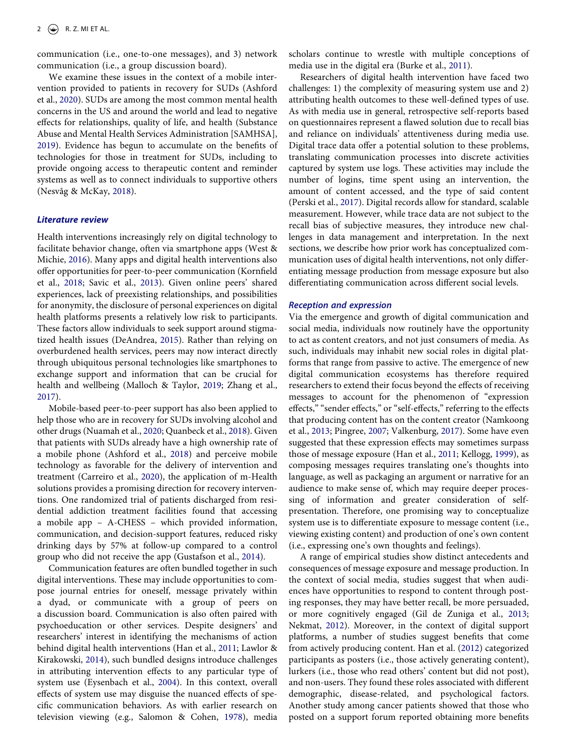communication (i.e., one-to-one messages), and 3) network communication (i.e., a group discussion board).

<span id="page-2-19"></span><span id="page-2-0"></span>We examine these issues in the context of a mobile intervention provided to patients in recovery for SUDs (Ashford et al., [2020\)](#page-9-2). SUDs are among the most common mental health concerns in the US and around the world and lead to negative effects for relationships, quality of life, and health (Substance Abuse and Mental Health Services Administration [SAMHSA], [2019](#page-11-2)). Evidence has begun to accumulate on the benefits of technologies for those in treatment for SUDs, including to provide ongoing access to therapeutic content and reminder systems as well as to connect individuals to supportive others (Nesvåg & McKay, [2018](#page-11-3)).

# <span id="page-2-15"></span>*Literature review*

<span id="page-2-20"></span><span id="page-2-10"></span>Health interventions increasingly rely on digital technology to facilitate behavior change, often via smartphone apps (West & Michie, [2016](#page-12-1)). Many apps and digital health interventions also offer opportunities for peer-to-peer communication (Kornfield et al., [2018;](#page-10-3) Savic et al., [2013\)](#page-11-4). Given online peers' shared experiences, lack of preexisting relationships, and possibilities for anonymity, the disclosure of personal experiences on digital health platforms presents a relatively low risk to participants. These factors allow individuals to seek support around stigmatized health issues (DeAndrea, [2015](#page-10-4)). Rather than relying on overburdened health services, peers may now interact directly through ubiquitous personal technologies like smartphones to exchange support and information that can be crucial for health and wellbeing (Malloch & Taylor, [2019](#page-10-5); Zhang et al., [2017](#page-12-2)).

<span id="page-2-16"></span><span id="page-2-12"></span><span id="page-2-4"></span><span id="page-2-3"></span><span id="page-2-1"></span>Mobile-based peer-to-peer support has also been applied to help those who are in recovery for SUDs involving alcohol and other drugs (Nuamah et al., [2020;](#page-11-5) Quanbeck et al., [2018](#page-11-6)). Given that patients with SUDs already have a high ownership rate of a mobile phone (Ashford et al., [2018\)](#page-9-3) and perceive mobile technology as favorable for the delivery of intervention and treatment (Carreiro et al., [2020](#page-10-6)), the application of m-Health solutions provides a promising direction for recovery interventions. One randomized trial of patients discharged from residential addiction treatment facilities found that accessing a mobile app – A-CHESS – which provided information, communication, and decision-support features, reduced risky drinking days by 57% at follow-up compared to a control group who did not receive the app (Gustafson et al., [2014\)](#page-10-7).

<span id="page-2-18"></span><span id="page-2-11"></span><span id="page-2-7"></span><span id="page-2-5"></span>Communication features are often bundled together in such digital interventions. These may include opportunities to compose journal entries for oneself, message privately within a dyad, or communicate with a group of peers on a discussion board. Communication is also often paired with psychoeducation or other services. Despite designers' and researchers' interest in identifying the mechanisms of action behind digital health interventions (Han et al., [2011](#page-10-8); Lawlor & Kirakowski, [2014](#page-10-9)), such bundled designs introduce challenges in attributing intervention effects to any particular type of system use (Eysenbach et al., [2004](#page-10-10)). In this context, overall effects of system use may disguise the nuanced effects of specific communication behaviors. As with earlier research on television viewing (e.g., Salomon & Cohen, [1978](#page-11-7)), media

<span id="page-2-2"></span>scholars continue to wrestle with multiple conceptions of media use in the digital era (Burke et al., [2011](#page-10-11)).

Researchers of digital health intervention have faced two challenges: 1) the complexity of measuring system use and 2) attributing health outcomes to these well-defined types of use. As with media use in general, retrospective self-reports based on questionnaires represent a flawed solution due to recall bias and reliance on individuals' attentiveness during media use. Digital trace data offer a potential solution to these problems, translating communication processes into discrete activities captured by system use logs. These activities may include the number of logins, time spent using an intervention, the amount of content accessed, and the type of said content (Perski et al., [2017](#page-11-8)). Digital records allow for standard, scalable measurement. However, while trace data are not subject to the recall bias of subjective measures, they introduce new challenges in data management and interpretation. In the next sections, we describe how prior work has conceptualized communication uses of digital health interventions, not only differentiating message production from message exposure but also differentiating communication across different social levels.

#### <span id="page-2-17"></span>*Reception and expression*

<span id="page-2-13"></span>Via the emergence and growth of digital communication and social media, individuals now routinely have the opportunity to act as content creators, and not just consumers of media. As such, individuals may inhabit new social roles in digital platforms that range from passive to active. The emergence of new digital communication ecosystems has therefore required researchers to extend their focus beyond the effects of receiving messages to account for the phenomenon of "expression effects," "sender effects," or "self-effects," referring to the effects that producing content has on the content creator (Namkoong et al., [2013](#page-11-9); Pingree, [2007;](#page-11-0) Valkenburg, [2017](#page-11-10)). Some have even suggested that these expression effects may sometimes surpass those of message exposure (Han et al., [2011](#page-10-8); Kellogg, [1999\)](#page-10-12), as composing messages requires translating one's thoughts into language, as well as packaging an argument or narrative for an audience to make sense of, which may require deeper processing of information and greater consideration of selfpresentation. Therefore, one promising way to conceptualize system use is to differentiate exposure to message content (i.e., viewing existing content) and production of one's own content (i.e., expressing one's own thoughts and feelings).

<span id="page-2-14"></span><span id="page-2-9"></span><span id="page-2-8"></span><span id="page-2-6"></span>A range of empirical studies show distinct antecedents and consequences of message exposure and message production. In the context of social media, studies suggest that when audiences have opportunities to respond to content through posting responses, they may have better recall, be more persuaded, or more cognitively engaged (Gil de Zuniga et al., [2013;](#page-10-13) Nekmat, [2012](#page-11-11)). Moreover, in the context of digital support platforms, a number of studies suggest benefits that come from actively producing content. Han et al. ([2012](#page-10-14)) categorized participants as posters (i.e., those actively generating content), lurkers (i.e., those who read others' content but did not post), and non-users. They found these roles associated with different demographic, disease-related, and psychological factors. Another study among cancer patients showed that those who posted on a support forum reported obtaining more benefits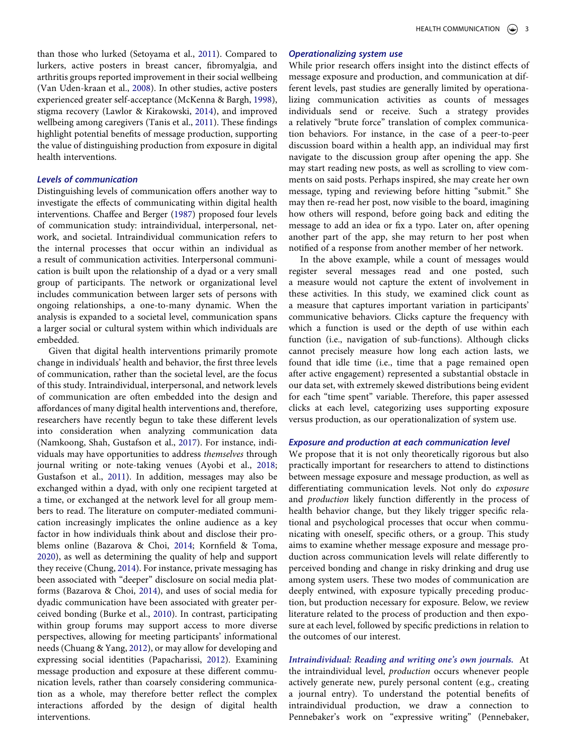<span id="page-3-14"></span><span id="page-3-12"></span><span id="page-3-8"></span>than those who lurked (Setoyama et al., [2011](#page-11-12)). Compared to lurkers, active posters in breast cancer, fibromyalgia, and arthritis groups reported improvement in their social wellbeing (Van Uden-kraan et al., [2008](#page-12-3)). In other studies, active posters experienced greater self-acceptance (McKenna & Bargh, [1998](#page-11-13)), stigma recovery (Lawlor & Kirakowski, [2014\)](#page-10-9), and improved wellbeing among caregivers (Tanis et al., [2011](#page-11-14)). These findings highlight potential benefits of message production, supporting the value of distinguishing production from exposure in digital health interventions.

# <span id="page-3-13"></span>*Levels of communication*

<span id="page-3-3"></span>Distinguishing levels of communication offers another way to investigate the effects of communicating within digital health interventions. Chaffee and Berger ([1987\)](#page-10-15) proposed four levels of communication study: intraindividual, interpersonal, network, and societal. Intraindividual communication refers to the internal processes that occur within an individual as a result of communication activities. Interpersonal communication is built upon the relationship of a dyad or a very small group of participants. The network or organizational level includes communication between larger sets of persons with ongoing relationships, a one-to-many dynamic. When the analysis is expanded to a societal level, communication spans a larger social or cultural system within which individuals are embedded.

<span id="page-3-9"></span><span id="page-3-7"></span><span id="page-3-6"></span><span id="page-3-5"></span><span id="page-3-1"></span><span id="page-3-0"></span>Given that digital health interventions primarily promote change in individuals' health and behavior, the first three levels of communication, rather than the societal level, are the focus of this study. Intraindividual, interpersonal, and network levels of communication are often embedded into the design and affordances of many digital health interventions and, therefore, researchers have recently begun to take these different levels into consideration when analyzing communication data (Namkoong, Shah, Gustafson et al., [2017\)](#page-11-15). For instance, individuals may have opportunities to address *themselves* through journal writing or note-taking venues (Ayobi et al., [2018;](#page-9-4) Gustafson et al., [2011](#page-10-16)). In addition, messages may also be exchanged within a dyad, with only one recipient targeted at a time, or exchanged at the network level for all group members to read. The literature on computer-mediated communication increasingly implicates the online audience as a key factor in how individuals think about and disclose their problems online (Bazarova & Choi, [2014;](#page-9-5) Kornfield & Toma, [2020](#page-10-17)), as well as determining the quality of help and support they receive (Chung, [2014\)](#page-10-18). For instance, private messaging has been associated with "deeper" disclosure on social media platforms (Bazarova & Choi, [2014](#page-9-5)), and uses of social media for dyadic communication have been associated with greater perceived bonding (Burke et al., [2010](#page-10-19)). In contrast, participating within group forums may support access to more diverse perspectives, allowing for meeting participants' informational needs (Chuang & Yang, [2012\)](#page-10-20), or may allow for developing and expressing social identities (Papacharissi, [2012](#page-11-16)). Examining message production and exposure at these different communication levels, rather than coarsely considering communication as a whole, may therefore better reflect the complex interactions afforded by the design of digital health interventions.

# *Operationalizing system use*

While prior research offers insight into the distinct effects of message exposure and production, and communication at different levels, past studies are generally limited by operationalizing communication activities as counts of messages individuals send or receive. Such a strategy provides a relatively "brute force" translation of complex communication behaviors. For instance, in the case of a peer-to-peer discussion board within a health app, an individual may first navigate to the discussion group after opening the app. She may start reading new posts, as well as scrolling to view comments on said posts. Perhaps inspired, she may create her own message, typing and reviewing before hitting "submit." She may then re-read her post, now visible to the board, imagining how others will respond, before going back and editing the message to add an idea or fix a typo. Later on, after opening another part of the app, she may return to her post when notified of a response from another member of her network.

In the above example, while a count of messages would register several messages read and one posted, such a measure would not capture the extent of involvement in these activities. In this study, we examined click count as a measure that captures important variation in participants' communicative behaviors. Clicks capture the frequency with which a function is used or the depth of use within each function (i.e., navigation of sub-functions). Although clicks cannot precisely measure how long each action lasts, we found that idle time (i.e., time that a page remained open after active engagement) represented a substantial obstacle in our data set, with extremely skewed distributions being evident for each "time spent" variable. Therefore, this paper assessed clicks at each level, categorizing uses supporting exposure versus production, as our operationalization of system use.

#### *Exposure and production at each communication level*

We propose that it is not only theoretically rigorous but also practically important for researchers to attend to distinctions between message exposure and message production, as well as differentiating communication levels. Not only do *exposure*  and *production* likely function differently in the process of health behavior change, but they likely trigger specific relational and psychological processes that occur when communicating with oneself, specific others, or a group. This study aims to examine whether message exposure and message production across communication levels will relate differently to perceived bonding and change in risky drinking and drug use among system users. These two modes of communication are deeply entwined, with exposure typically preceding production, but production necessary for exposure. Below, we review literature related to the process of production and then exposure at each level, followed by specific predictions in relation to the outcomes of our interest.

<span id="page-3-11"></span><span id="page-3-10"></span><span id="page-3-4"></span><span id="page-3-2"></span>*Intraindividual: Reading and writing one's own journals.* At the intraindividual level, *production* occurs whenever people actively generate new, purely personal content (e.g., creating a journal entry). To understand the potential benefits of intraindividual production, we draw a connection to Pennebaker's work on "expressive writing" (Pennebaker,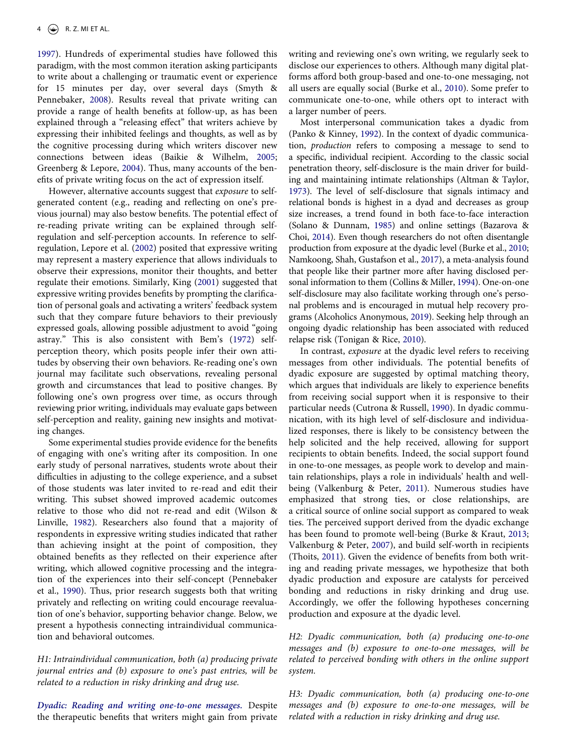<span id="page-4-12"></span>[1997](#page-11-17)). Hundreds of experimental studies have followed this paradigm, with the most common iteration asking participants to write about a challenging or traumatic event or experience for 15 minutes per day, over several days (Smyth & Pennebaker, [2008](#page-11-18)). Results reveal that private writing can provide a range of health benefits at follow-up, as has been explained through a "releasing effect" that writers achieve by expressing their inhibited feelings and thoughts, as well as by the cognitive processing during which writers discover new connections between ideas (Baikie & Wilhelm, [2005;](#page-9-6) Greenberg & Lepore, [2004](#page-10-21)). Thus, many accounts of the benefits of private writing focus on the act of expression itself.

<span id="page-4-9"></span><span id="page-4-8"></span><span id="page-4-7"></span><span id="page-4-2"></span>However, alternative accounts suggest that *exposure* to selfgenerated content (e.g., reading and reflecting on one's previous journal) may also bestow benefits. The potential effect of re-reading private writing can be explained through selfregulation and self-perception accounts. In reference to selfregulation, Lepore et al. ([2002\)](#page-10-22) posited that expressive writing may represent a mastery experience that allows individuals to observe their expressions, monitor their thoughts, and better regulate their emotions. Similarly, King [\(2001](#page-10-23)) suggested that expressive writing provides benefits by prompting the clarification of personal goals and activating a writers' feedback system such that they compare future behaviors to their previously expressed goals, allowing possible adjustment to avoid "going astray." This is also consistent with Bem's [\(1972\)](#page-9-7) selfperception theory, which posits people infer their own attitudes by observing their own behaviors. Re-reading one's own journal may facilitate such observations, revealing personal growth and circumstances that lead to positive changes. By following one's own progress over time, as occurs through reviewing prior writing, individuals may evaluate gaps between self-perception and reality, gaining new insights and motivating changes.

<span id="page-4-18"></span><span id="page-4-3"></span>Some experimental studies provide evidence for the benefits of engaging with one's writing after its composition. In one early study of personal narratives, students wrote about their difficulties in adjusting to the college experience, and a subset of those students was later invited to re-read and edit their writing. This subset showed improved academic outcomes relative to those who did not re-read and edit (Wilson & Linville, [1982](#page-12-4)). Researchers also found that a majority of respondents in expressive writing studies indicated that rather than achieving insight at the point of composition, they obtained benefits as they reflected on their experience after writing, which allowed cognitive processing and the integration of the experiences into their self-concept (Pennebaker et al., [1990\)](#page-11-19). Thus, prior research suggests both that writing privately and reflecting on writing could encourage reevaluation of one's behavior, supporting behavior change. Below, we present a hypothesis connecting intraindividual communication and behavioral outcomes.

<span id="page-4-11"></span>*H1: Intraindividual communication, both (a) producing private journal entries and (b) exposure to one's past entries, will be related to a reduction in risky drinking and drug use.*

*Dyadic: Reading and writing one-to-one messages.* Despite the therapeutic benefits that writers might gain from private

writing and reviewing one's own writing, we regularly seek to disclose our experiences to others. Although many digital platforms afford both group-based and one-to-one messaging, not all users are equally social (Burke et al., [2010\)](#page-10-19). Some prefer to communicate one-to-one, while others opt to interact with a larger number of peers.

<span id="page-4-13"></span><span id="page-4-10"></span><span id="page-4-1"></span>Most interpersonal communication takes a dyadic from (Panko & Kinney, [1992](#page-11-20)). In the context of dyadic communication, *production* refers to composing a message to send to a specific, individual recipient. According to the classic social penetration theory, self-disclosure is the main driver for building and maintaining intimate relationships (Altman & Taylor, [1973\)](#page-9-8). The level of self-disclosure that signals intimacy and relational bonds is highest in a dyad and decreases as group size increases, a trend found in both face-to-face interaction (Solano & Dunnam, [1985](#page-11-21)) and online settings (Bazarova & Choi, [2014\)](#page-9-5). Even though researchers do not often disentangle production from exposure at the dyadic level (Burke et al., [2010;](#page-10-19) Namkoong, Shah, Gustafson et al., [2017\)](#page-11-15), a meta-analysis found that people like their partner more after having disclosed personal information to them (Collins & Miller, [1994\)](#page-10-24). One-on-one self-disclosure may also facilitate working through one's personal problems and is encouraged in mutual help recovery programs (Alcoholics Anonymous, [2019\)](#page-9-9). Seeking help through an ongoing dyadic relationship has been associated with reduced relapse risk (Tonigan & Rice, [2010\)](#page-11-22).

<span id="page-4-17"></span><span id="page-4-15"></span><span id="page-4-6"></span><span id="page-4-5"></span><span id="page-4-0"></span>In contrast, *exposure* at the dyadic level refers to receiving messages from other individuals. The potential benefits of dyadic exposure are suggested by optimal matching theory, which argues that individuals are likely to experience benefits from receiving social support when it is responsive to their particular needs (Cutrona & Russell, [1990\)](#page-10-25). In dyadic communication, with its high level of self-disclosure and individualized responses, there is likely to be consistency between the help solicited and the help received, allowing for support recipients to obtain benefits. Indeed, the social support found in one-to-one messages, as people work to develop and maintain relationships, plays a role in individuals' health and wellbeing (Valkenburg & Peter, [2011](#page-11-23)). Numerous studies have emphasized that strong ties, or close relationships, are a critical source of online social support as compared to weak ties. The perceived support derived from the dyadic exchange has been found to promote well-being (Burke & Kraut, [2013;](#page-10-26) Valkenburg & Peter, [2007](#page-11-24)), and build self-worth in recipients (Thoits, [2011\)](#page-11-25). Given the evidence of benefits from both writing and reading private messages, we hypothesize that both dyadic production and exposure are catalysts for perceived bonding and reductions in risky drinking and drug use. Accordingly, we offer the following hypotheses concerning production and exposure at the dyadic level.

<span id="page-4-16"></span><span id="page-4-14"></span><span id="page-4-4"></span>*H2: Dyadic communication, both (a) producing one-to-one messages and (b) exposure to one-to-one messages, will be related to perceived bonding with others in the online support system.*

*H3: Dyadic communication, both (a) producing one-to-one messages and (b) exposure to one-to-one messages, will be related with a reduction in risky drinking and drug use.*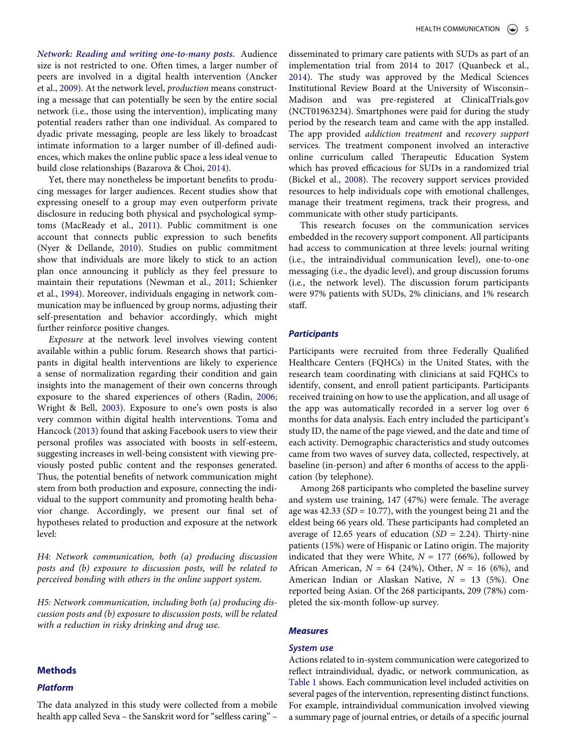<span id="page-5-0"></span>*Network: Reading and writing one-to-many posts.* Audience size is not restricted to one. Often times, a larger number of peers are involved in a digital health intervention (Ancker et al., [2009\)](#page-9-10). At the network level, *production* means constructing a message that can potentially be seen by the entire social network (i.e., those using the intervention), implicating many potential readers rather than one individual. As compared to dyadic private messaging, people are less likely to broadcast intimate information to a larger number of ill-defined audiences, which makes the online public space a less ideal venue to build close relationships (Bazarova & Choi, [2014\)](#page-9-5).

<span id="page-5-4"></span><span id="page-5-2"></span>Yet, there may nonetheless be important benefits to producing messages for larger audiences. Recent studies show that expressing oneself to a group may even outperform private disclosure in reducing both physical and psychological symptoms (MacReady et al., [2011](#page-10-27)). Public commitment is one account that connects public expression to such benefits (Nyer & Dellande, [2010\)](#page-11-26). Studies on public commitment show that individuals are more likely to stick to an action plan once announcing it publicly as they feel pressure to maintain their reputations (Newman et al., [2011;](#page-11-27) Schienker et al., [1994\)](#page-11-28). Moreover, individuals engaging in network communication may be influenced by group norms, adjusting their self-presentation and behavior accordingly, which might further reinforce positive changes.

<span id="page-5-9"></span><span id="page-5-8"></span><span id="page-5-7"></span><span id="page-5-6"></span><span id="page-5-3"></span>*Exposure* at the network level involves viewing content available within a public forum. Research shows that participants in digital health interventions are likely to experience a sense of normalization regarding their condition and gain insights into the management of their own concerns through exposure to the shared experiences of others (Radin, [2006;](#page-11-29) Wright & Bell, [2003\)](#page-12-5). Exposure to one's own posts is also very common within digital health interventions. Toma and Hancock ([2013\)](#page-11-30) found that asking Facebook users to view their personal profiles was associated with boosts in self-esteem, suggesting increases in well-being consistent with viewing previously posted public content and the responses generated. Thus, the potential benefits of network communication might stem from both production and exposure, connecting the individual to the support community and promoting health behavior change. Accordingly, we present our final set of hypotheses related to production and exposure at the network level:

*H4: Network communication, both (a) producing discussion posts and (b) exposure to discussion posts, will be related to perceived bonding with others in the online support system.*

*H5: Network communication, including both (a) producing discussion posts and (b) exposure to discussion posts, will be related with a reduction in risky drinking and drug use.*

#### **Methods**

#### *Platform*

The data analyzed in this study were collected from a mobile health app called Seva – the Sanskrit word for "selfless caring" –

<span id="page-5-5"></span>disseminated to primary care patients with SUDs as part of an implementation trial from 2014 to 2017 (Quanbeck et al., [2014](#page-11-31)). The study was approved by the Medical Sciences Institutional Review Board at the University of Wisconsin– Madison and was pre-registered at ClinicalTrials.gov (NCT01963234). Smartphones were paid for during the study period by the research team and came with the app installed. The app provided *addiction treatment* and *recovery support*  services. The treatment component involved an interactive online curriculum called Therapeutic Education System which has proved efficacious for SUDs in a randomized trial (Bickel et al., [2008\)](#page-10-28). The recovery support services provided resources to help individuals cope with emotional challenges, manage their treatment regimens, track their progress, and communicate with other study participants.

<span id="page-5-1"></span>This research focuses on the communication services embedded in the recovery support component. All participants had access to communication at three levels: journal writing (i.e., the intraindividual communication level), one-to-one messaging (i.e., the dyadic level), and group discussion forums (i.e., the network level). The discussion forum participants were 97% patients with SUDs, 2% clinicians, and 1% research staff.

# *Participants*

Participants were recruited from three Federally Qualified Healthcare Centers (FQHCs) in the United States, with the research team coordinating with clinicians at said FQHCs to identify, consent, and enroll patient participants. Participants received training on how to use the application, and all usage of the app was automatically recorded in a server log over 6 months for data analysis. Each entry included the participant's study ID, the name of the page viewed, and the date and time of each activity. Demographic characteristics and study outcomes came from two waves of survey data, collected, respectively, at baseline (in-person) and after 6 months of access to the application (by telephone).

Among 268 participants who completed the baseline survey and system use training, 147 (47%) were female. The average age was 42.33 (*SD* = 10.77), with the youngest being 21 and the eldest being 66 years old. These participants had completed an average of 12.65 years of education (*SD* = 2.24). Thirty-nine patients (15%) were of Hispanic or Latino origin. The majority indicated that they were White,  $N = 177$  (66%), followed by African American, *N* = 64 (24%), Other, *N* = 16 (6%), and American Indian or Alaskan Native, *N* = 13 (5%). One reported being Asian. Of the 268 participants, 209 (78%) completed the six-month follow-up survey.

#### *Measures*

#### *System use*

Actions related to in-system communication were categorized to reflect intraindividual, dyadic, or network communication, as [Table 1](#page-6-0) shows. Each communication level included activities on several pages of the intervention, representing distinct functions. For example, intraindividual communication involved viewing a summary page of journal entries, or details of a specific journal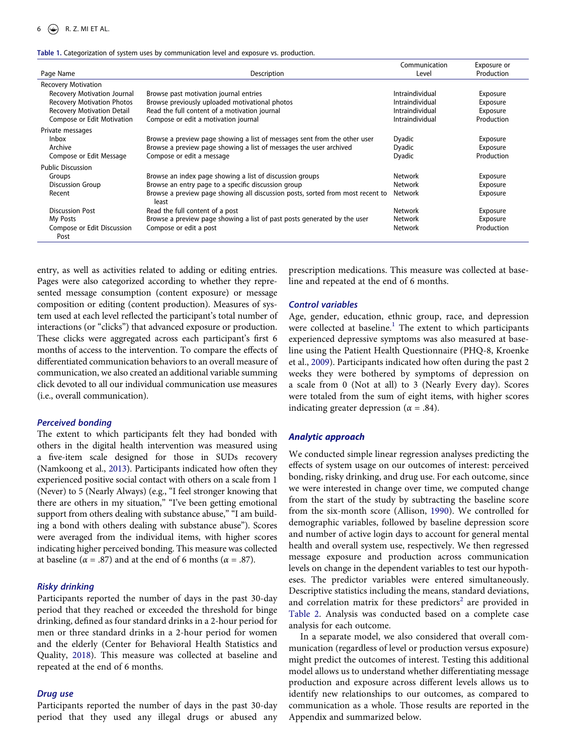#### 6  $\left(\bigstar\right)$  R. Z. MI ET AL.

#### <span id="page-6-0"></span>**Table 1.** Categorization of system uses by communication level and exposure vs. production.

|                                    |                                                                                         | Communication   | Exposure or |
|------------------------------------|-----------------------------------------------------------------------------------------|-----------------|-------------|
| Page Name                          | Description                                                                             | Level           | Production  |
| <b>Recovery Motivation</b>         |                                                                                         |                 |             |
| <b>Recovery Motivation Journal</b> | Browse past motivation journal entries                                                  | Intraindividual | Exposure    |
| <b>Recovery Motivation Photos</b>  | Browse previously uploaded motivational photos                                          | Intraindividual | Exposure    |
| <b>Recovery Motivation Detail</b>  | Read the full content of a motivation journal                                           | Intraindividual | Exposure    |
| Compose or Edit Motivation         | Compose or edit a motivation journal                                                    | Intraindividual | Production  |
| Private messages                   |                                                                                         |                 |             |
| <b>Inbox</b>                       | Browse a preview page showing a list of messages sent from the other user               | Dyadic          | Exposure    |
| Archive                            | Browse a preview page showing a list of messages the user archived                      | Dyadic          | Exposure    |
| Compose or Edit Message            | Compose or edit a message                                                               | Dyadic          | Production  |
| <b>Public Discussion</b>           |                                                                                         |                 |             |
| Groups                             | Browse an index page showing a list of discussion groups                                | <b>Network</b>  | Exposure    |
| <b>Discussion Group</b>            | Browse an entry page to a specific discussion group                                     | Network         | Exposure    |
| Recent                             | Browse a preview page showing all discussion posts, sorted from most recent to<br>least | Network         | Exposure    |
| <b>Discussion Post</b>             | Read the full content of a post                                                         | Network         | Exposure    |
| My Posts                           | Browse a preview page showing a list of past posts generated by the user                | Network         | Exposure    |
| Compose or Edit Discussion         | Compose or edit a post                                                                  | Network         | Production  |
| Post                               |                                                                                         |                 |             |

entry, as well as activities related to adding or editing entries. Pages were also categorized according to whether they represented message consumption (content exposure) or message composition or editing (content production). Measures of system used at each level reflected the participant's total number of interactions (or "clicks") that advanced exposure or production. These clicks were aggregated across each participant's first 6 months of access to the intervention. To compare the effects of differentiated communication behaviors to an overall measure of communication, we also created an additional variable summing click devoted to all our individual communication use measures (i.e., overall communication).

# *Perceived bonding*

The extent to which participants felt they had bonded with others in the digital health intervention was measured using a five-item scale designed for those in SUDs recovery (Namkoong et al., [2013\)](#page-11-9). Participants indicated how often they experienced positive social contact with others on a scale from 1 (Never) to 5 (Nearly Always) (e.g., "I feel stronger knowing that there are others in my situation," "I've been getting emotional support from others dealing with substance abuse," "I am building a bond with others dealing with substance abuse"). Scores were averaged from the individual items, with higher scores indicating higher perceived bonding. This measure was collected at baseline ( $\alpha$  = .87) and at the end of 6 months ( $\alpha$  = .87).

# *Risky drinking*

Participants reported the number of days in the past 30-day period that they reached or exceeded the threshold for binge drinking, defined as four standard drinks in a 2-hour period for men or three standard drinks in a 2-hour period for women and the elderly (Center for Behavioral Health Statistics and Quality, [2018](#page-10-29)). This measure was collected at baseline and repeated at the end of 6 months.

#### <span id="page-6-2"></span>*Drug use*

Participants reported the number of days in the past 30-day period that they used any illegal drugs or abused any prescription medications. This measure was collected at baseline and repeated at the end of 6 months.

## *Control variables*

<span id="page-6-3"></span>Age, gender, education, ethnic group, race, and depression were collected at baseline.<sup>1</sup> The extent to which participants experienced depressive symptoms was also measured at baseline using the Patient Health Questionnaire (PHQ-8, Kroenke et al., [2009\)](#page-10-30). Participants indicated how often during the past 2 weeks they were bothered by symptoms of depression on a scale from 0 (Not at all) to 3 (Nearly Every day). Scores were totaled from the sum of eight items, with higher scores indicating greater depression ( $\alpha$  = .84).

# *Analytic approach*

<span id="page-6-1"></span>We conducted simple linear regression analyses predicting the effects of system usage on our outcomes of interest: perceived bonding, risky drinking, and drug use. For each outcome, since we were interested in change over time, we computed change from the start of the study by subtracting the baseline score from the six-month score (Allison, [1990\)](#page-9-12). We controlled for demographic variables, followed by baseline depression score and number of active login days to account for general mental health and overall system use, respectively. We then regressed message exposure and production across communication levels on change in the dependent variables to test our hypotheses. The predictor variables were entered simultaneously. Descriptive statistics including the means, standard deviations, and correlation matrix for these predictors<sup>[2](#page-9-13)</sup> are provided in [Table 2.](#page-7-0) Analysis was conducted based on a complete case analysis for each outcome.

In a separate model, we also considered that overall communication (regardless of level or production versus exposure) might predict the outcomes of interest. Testing this additional model allows us to understand whether differentiating message production and exposure across different levels allows us to identify new relationships to our outcomes, as compared to communication as a whole. Those results are reported in the Appendix and summarized below.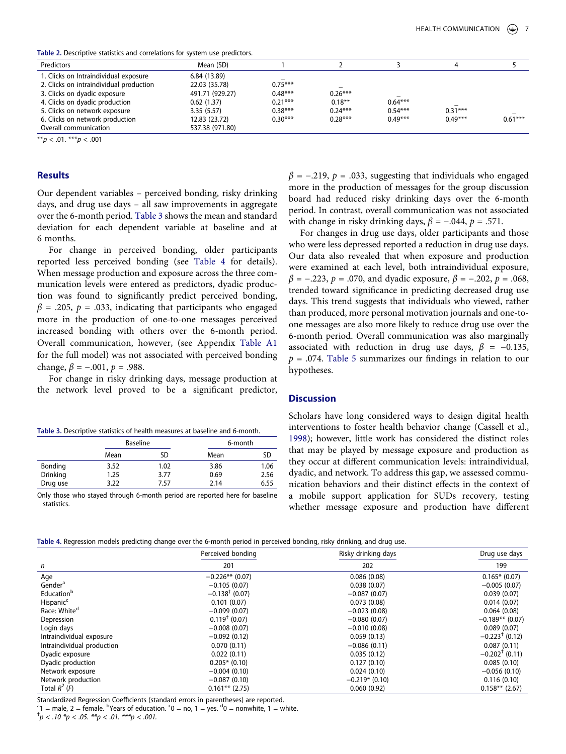<span id="page-7-0"></span>**Table 2.** Descriptive statistics and correlations for system use predictors.

| Predictors                              | Mean (SD)       |                          |           |           |           |           |
|-----------------------------------------|-----------------|--------------------------|-----------|-----------|-----------|-----------|
| 1. Clicks on Intraindividual exposure   | 6.84 (13.89)    | $\overline{\phantom{a}}$ |           |           |           |           |
| 2. Clicks on intraindividual production | 22.03 (35.78)   | $0.75***$                | -         |           |           |           |
| 3. Clicks on dyadic exposure            | 491.71 (929.27) | $0.48***$                | $0.26***$ |           |           |           |
| 4. Clicks on dyadic production          | 0.62(1.37)      | $0.21***$                | $0.18***$ | $0.64***$ |           |           |
| 5. Clicks on network exposure           | 3.35(5.57)      | $0.38***$                | $0.24***$ | $0.54***$ | $0.31***$ |           |
| 6. Clicks on network production         | 12.83 (23.72)   | $0.30***$                | $0.28***$ | $0.49***$ | $0.49***$ | $0.61***$ |
| Overall communication                   | 537.38 (971.80) |                          |           |           |           |           |

\*\**p* < .01. \*\*\**p* < .001

#### **Results**

Our dependent variables – perceived bonding, risky drinking days, and drug use days – all saw improvements in aggregate over the 6-month period. [Table 3](#page-7-1) shows the mean and standard deviation for each dependent variable at baseline and at 6 months.

For change in perceived bonding, older participants reported less perceived bonding (see [Table 4](#page-7-2) for details). When message production and exposure across the three communication levels were entered as predictors, dyadic production was found to significantly predict perceived bonding,  $\beta$  = .205,  $p$  = .033, indicating that participants who engaged more in the production of one-to-one messages perceived increased bonding with others over the 6-month period. Overall communication, however, (see Appendix [Table A1](#page-12-6)  for the full model) was not associated with perceived bonding change,  $\beta = -.001$ ,  $p = .988$ .

For change in risky drinking days, message production at the network level proved to be a significant predictor,

<span id="page-7-1"></span>

| Table 3. Descriptive statistics of health measures at baseline and 6-month. |  |
|-----------------------------------------------------------------------------|--|
|-----------------------------------------------------------------------------|--|

|          | <b>Baseline</b> |      | 6-month |      |
|----------|-----------------|------|---------|------|
|          | Mean            | SD   | Mean    | SD   |
| Bonding  | 3.52            | 1.02 | 3.86    | 1.06 |
| Drinking | 1.25            | 3.77 | 0.69    | 2.56 |
| Drug use | 3.22            | 7.57 | 2.14    | 6.55 |

Only those who stayed through 6-month period are reported here for baseline statistics.

 $\beta$  = -.219,  $p$  = .033, suggesting that individuals who engaged more in the production of messages for the group discussion board had reduced risky drinking days over the 6-month period. In contrast, overall communication was not associated with change in risky drinking days,  $\beta$  = -.044,  $p$  = .571.

For changes in drug use days, older participants and those who were less depressed reported a reduction in drug use days. Our data also revealed that when exposure and production were examined at each level, both intraindividual exposure, *β* = −.223, *p* = .070, and dyadic exposure, *β* = −.202, *p* = .068, trended toward significance in predicting decreased drug use days. This trend suggests that individuals who viewed, rather than produced, more personal motivation journals and one-toone messages are also more likely to reduce drug use over the 6-month period. Overall communication was also marginally associated with reduction in drug use days,  $\beta$  = -0.135, *p* = .074. [Table 5](#page-8-0) summarizes our findings in relation to our hypotheses.

# **Discussion**

<span id="page-7-3"></span>Scholars have long considered ways to design digital health interventions to foster health behavior change (Cassell et al., [1998](#page-10-31)); however, little work has considered the distinct roles that may be played by message exposure and production as they occur at different communication levels: intraindividual, dyadic, and network. To address this gap, we assessed communication behaviors and their distinct effects in the context of a mobile support application for SUDs recovery, testing whether message exposure and production have different

<span id="page-7-2"></span>

| Table 4. Regression models predicting change over the 6-month period in perceived bonding, risky drinking, and drug use. |  |  |  |  |  |
|--------------------------------------------------------------------------------------------------------------------------|--|--|--|--|--|
|--------------------------------------------------------------------------------------------------------------------------|--|--|--|--|--|

|                            | Perceived bonding            | Risky drinking days | Drug use days                |
|----------------------------|------------------------------|---------------------|------------------------------|
| n                          | 201                          | 202                 | 199                          |
| Age                        | $-0.226**$ (0.07)            | 0.086(0.08)         | $0.165*$ (0.07)              |
| Gender <sup>a</sup>        | $-0.105(0.07)$               | 0.038(0.07)         | $-0.005(0.07)$               |
| Education <sup>b</sup>     | $-0.138$ <sup>†</sup> (0.07) | $-0.087(0.07)$      | 0.039(0.07)                  |
| Hispanic <sup>c</sup>      | 0.101(0.07)                  | 0.073(0.08)         | 0.014(0.07)                  |
| Race: White <sup>d</sup>   | $-0.099(0.07)$               | $-0.023(0.08)$      | 0.064(0.08)                  |
| Depression                 | $0.119^{\dagger}$ (0.07)     | $-0.080(0.07)$      | $-0.189**$ (0.07)            |
| Login days                 | $-0.008(0.07)$               | $-0.010(0.08)$      | 0.089(0.07)                  |
| Intraindividual exposure   | $-0.092(0.12)$               | 0.059(0.13)         | $-0.223$ <sup>†</sup> (0.12) |
| Intraindividual production | 0.070(0.11)                  | $-0.086(0.11)$      | 0.087(0.11)                  |
| Dyadic exposure            | 0.022(0.11)                  | 0.035(0.12)         | $-0.202$ <sup>T</sup> (0.11) |
| Dyadic production          | $0.205*$ (0.10)              | 0.127(0.10)         | 0.085(0.10)                  |
| Network exposure           | $-0.004(0.10)$               | 0.024(0.10)         | $-0.056(0.10)$               |
| Network production         | $-0.087(0.10)$               | $-0.219*$ (0.10)    | 0.116(0.10)                  |
| Total $R^2$ (F)            | $0.161**$ (2.75)             | 0.060(0.92)         | $0.158**$ (2.67)             |

Standardized Regression Coefficients (standard errors in parentheses) are reported.

<sup>a</sup> $1 =$  male, 2 = female. <sup>b</sup>Years of education. <sup>c</sup>0 = no, 1 = yes. <sup>d</sup>0 = nonwhite, 1 = white.<br><sup>†</sup>p < 10 <sup>\*</sup>p < 05 <sup>\*\*p</sup> < 01 <sup>\*\*\*p</sup> < 001

 $^{+}p$  < .10  $^{*}p$  < .05.  $^{**}p$  < .01.  $^{***}p$  < .001.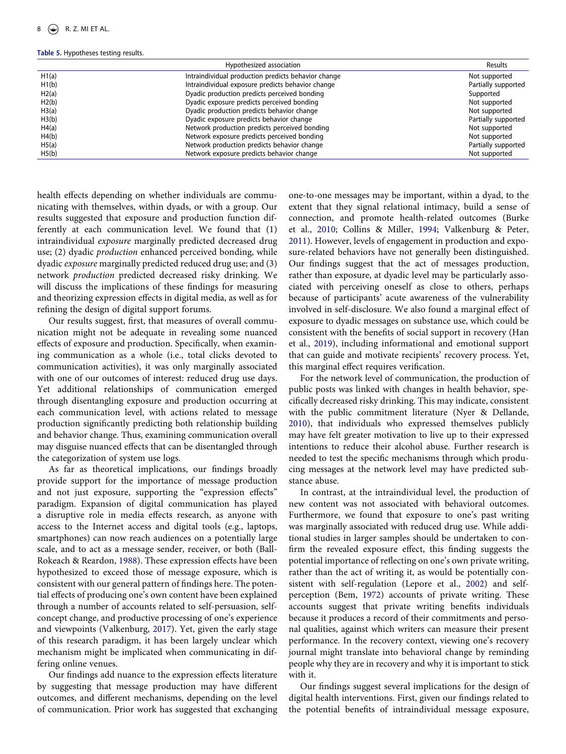#### <span id="page-8-0"></span>**Table 5.** Hypotheses testing results.

|       | Hypothesized association                            | Results             |
|-------|-----------------------------------------------------|---------------------|
| H1(a) | Intraindividual production predicts behavior change | Not supported       |
| H1(b) | Intraindividual exposure predicts behavior change   | Partially supported |
| H2(a) | Dyadic production predicts perceived bonding        | Supported           |
| H2(b) | Dyadic exposure predicts perceived bonding          | Not supported       |
| H3(a) | Dyadic production predicts behavior change          | Not supported       |
| H3(b) | Dyadic exposure predicts behavior change            | Partially supported |
| H4(a) | Network production predicts perceived bonding       | Not supported       |
| H4(b) | Network exposure predicts perceived bonding         | Not supported       |
| H5(a) | Network production predicts behavior change         | Partially supported |
| H5(b) | Network exposure predicts behavior change           | Not supported       |

health effects depending on whether individuals are communicating with themselves, within dyads, or with a group. Our results suggested that exposure and production function differently at each communication level. We found that (1) intraindividual *exposure* marginally predicted decreased drug use; (2) dyadic *production* enhanced perceived bonding, while dyadic *exposure* marginally predicted reduced drug use; and (3) network *production* predicted decreased risky drinking. We will discuss the implications of these findings for measuring and theorizing expression effects in digital media, as well as for refining the design of digital support forums.

Our results suggest, first, that measures of overall communication might not be adequate in revealing some nuanced effects of exposure and production. Specifically, when examining communication as a whole (i.e., total clicks devoted to communication activities), it was only marginally associated with one of our outcomes of interest: reduced drug use days. Yet additional relationships of communication emerged through disentangling exposure and production occurring at each communication level, with actions related to message production significantly predicting both relationship building and behavior change. Thus, examining communication overall may disguise nuanced effects that can be disentangled through the categorization of system use logs.

<span id="page-8-1"></span>As far as theoretical implications, our findings broadly provide support for the importance of message production and not just exposure, supporting the "expression effects" paradigm. Expansion of digital communication has played a disruptive role in media effects research, as anyone with access to the Internet access and digital tools (e.g., laptops, smartphones) can now reach audiences on a potentially large scale, and to act as a message sender, receiver, or both (Ball-Rokeach & Reardon, [1988\)](#page-9-14). These expression effects have been hypothesized to exceed those of message exposure, which is consistent with our general pattern of findings here. The potential effects of producing one's own content have been explained through a number of accounts related to self-persuasion, selfconcept change, and productive processing of one's experience and viewpoints (Valkenburg, [2017\)](#page-11-10). Yet, given the early stage of this research paradigm, it has been largely unclear which mechanism might be implicated when communicating in differing online venues.

Our findings add nuance to the expression effects literature by suggesting that message production may have different outcomes, and different mechanisms, depending on the level of communication. Prior work has suggested that exchanging one-to-one messages may be important, within a dyad, to the extent that they signal relational intimacy, build a sense of connection, and promote health-related outcomes (Burke et al., [2010](#page-10-19); Collins & Miller, [1994](#page-10-24); Valkenburg & Peter, [2011](#page-11-23)). However, levels of engagement in production and exposure-related behaviors have not generally been distinguished. Our findings suggest that the act of messages production, rather than exposure, at dyadic level may be particularly associated with perceiving oneself as close to others, perhaps because of participants' acute awareness of the vulnerability involved in self-disclosure. We also found a marginal effect of exposure to dyadic messages on substance use, which could be consistent with the benefits of social support in recovery (Han et al., [2019\)](#page-10-0), including informational and emotional support that can guide and motivate recipients' recovery process. Yet, this marginal effect requires verification.

For the network level of communication, the production of public posts was linked with changes in health behavior, specifically decreased risky drinking. This may indicate, consistent with the public commitment literature (Nyer & Dellande, [2010](#page-11-26)), that individuals who expressed themselves publicly may have felt greater motivation to live up to their expressed intentions to reduce their alcohol abuse. Further research is needed to test the specific mechanisms through which producing messages at the network level may have predicted substance abuse.

In contrast, at the intraindividual level, the production of new content was not associated with behavioral outcomes. Furthermore, we found that exposure to one's past writing was marginally associated with reduced drug use. While additional studies in larger samples should be undertaken to confirm the revealed exposure effect, this finding suggests the potential importance of reflecting on one's own private writing, rather than the act of writing it, as would be potentially consistent with self-regulation (Lepore et al., [2002](#page-10-22)) and selfperception (Bem, [1972\)](#page-9-7) accounts of private writing. These accounts suggest that private writing benefits individuals because it produces a record of their commitments and personal qualities, against which writers can measure their present performance. In the recovery context, viewing one's recovery journal might translate into behavioral change by reminding people why they are in recovery and why it is important to stick with it.

Our findings suggest several implications for the design of digital health interventions. First, given our findings related to the potential benefits of intraindividual message exposure,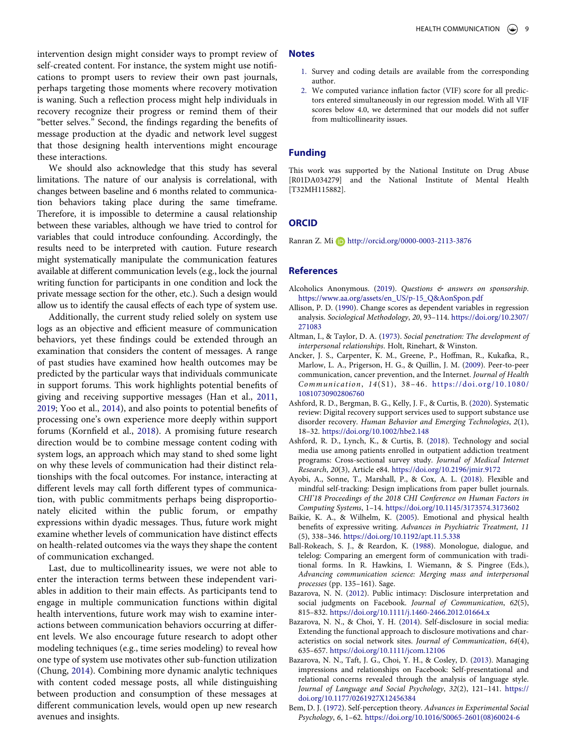intervention design might consider ways to prompt review of self-created content. For instance, the system might use notifications to prompt users to review their own past journals, perhaps targeting those moments where recovery motivation is waning. Such a reflection process might help individuals in recovery recognize their progress or remind them of their "better selves." Second, the findings regarding the benefits of message production at the dyadic and network level suggest that those designing health interventions might encourage these interactions.

We should also acknowledge that this study has several limitations. The nature of our analysis is correlational, with changes between baseline and 6 months related to communication behaviors taking place during the same timeframe. Therefore, it is impossible to determine a causal relationship between these variables, although we have tried to control for variables that could introduce confounding. Accordingly, the results need to be interpreted with caution. Future research might systematically manipulate the communication features available at different communication levels (e.g., lock the journal writing function for participants in one condition and lock the private message section for the other, etc.). Such a design would allow us to identify the causal effects of each type of system use.

<span id="page-9-15"></span>Additionally, the current study relied solely on system use logs as an objective and efficient measure of communication behaviors, yet these findings could be extended through an examination that considers the content of messages. A range of past studies have examined how health outcomes may be predicted by the particular ways that individuals communicate in support forums. This work highlights potential benefits of giving and receiving supportive messages (Han et al., [2011,](#page-10-8) [2019](#page-10-0); Yoo et al., [2014](#page-12-7)), and also points to potential benefits of processing one's own experience more deeply within support forums (Kornfield et al., [2018](#page-10-3)). A promising future research direction would be to combine message content coding with system logs, an approach which may stand to shed some light on why these levels of communication had their distinct relationships with the focal outcomes. For instance, interacting at different levels may call forth different types of communication, with public commitments perhaps being disproportionately elicited within the public forum, or empathy expressions within dyadic messages. Thus, future work might examine whether levels of communication have distinct effects on health-related outcomes via the ways they shape the content of communication exchanged.

Last, due to multicollinearity issues, we were not able to enter the interaction terms between these independent variables in addition to their main effects. As participants tend to engage in multiple communication functions within digital health interventions, future work may wish to examine interactions between communication behaviors occurring at different levels. We also encourage future research to adopt other modeling techniques (e.g., time series modeling) to reveal how one type of system use motivates other sub-function utilization (Chung, [2014](#page-10-18)). Combining more dynamic analytic techniques with content coded message posts, all while distinguishing between production and consumption of these messages at different communication levels, would open up new research avenues and insights.

#### **Notes**

- <span id="page-9-11"></span>1. Survey and coding details are available from the corresponding author.
- <span id="page-9-13"></span>2. We computed variance inflation factor (VIF) score for all predictors entered simultaneously in our regression model. With all VIF scores below 4.0, we determined that our models did not suffer from multicollinearity issues.

## **Funding**

This work was supported by the National Institute on Drug Abuse [R01DA034279] and the National Institute of Mental Health [T32MH115882].

## **ORCID**

Ranran Z. Mi D http://orcid.org/0000-0003-2113-3876

#### **References**

- <span id="page-9-9"></span>Alcoholics Anonymous. [\(2019\)](#page-4-0). *Questions & answers on sponsorship*. [https://www.aa.org/assets/en\\_US/p-15\\_Q&AonSpon.pdf](https://www.aa.org/assets/en_US/p-15_Q%26AonSpon.pdf)
- <span id="page-9-12"></span>Allison, P. D. ([1990\)](#page-6-1). Change scores as dependent variables in regression analysis. *Sociological Methodology*, *20*, 93–114. [https://doi.org/10.2307/](https://doi.org/10.2307/271083) [271083](https://doi.org/10.2307/271083)
- <span id="page-9-8"></span>Altman, I., & Taylor, D. A. [\(1973\)](#page-4-1). *Social penetration: The development of interpersonal relationships*. Holt, Rinehart, & Winston.
- <span id="page-9-10"></span>Ancker, J. S., Carpenter, K. M., Greene, P., Hoffman, R., Kukafka, R., Marlow, L. A., Prigerson, H. G., & Quillin, J. M. [\(2009](#page-5-0)). Peer-to-peer communication, cancer prevention, and the Internet. *Journal of Health Communication*, *14*(S1), 38–46. [https://doi.org/10.1080/](https://doi.org/10.1080/10810730902806760)  [10810730902806760](https://doi.org/10.1080/10810730902806760)
- <span id="page-9-2"></span>Ashford, R. D., Bergman, B. G., Kelly, J. F., & Curtis, B. [\(2020\)](#page-2-0). Systematic review: Digital recovery support services used to support substance use disorder recovery. *Human Behavior and Emerging Technologies*, *2*(1), 18–32. <https://doi.org/10.1002/hbe2.148>
- <span id="page-9-3"></span>Ashford, R. D., Lynch, K., & Curtis, B. ([2018](#page-2-1)). Technology and social media use among patients enrolled in outpatient addiction treatment programs: Cross-sectional survey study. *Journal of Medical Internet Research*, *20*(3), Article e84. <https://doi.org/10.2196/jmir.9172>
- <span id="page-9-4"></span>Ayobi, A., Sonne, T., Marshall, P., & Cox, A. L. ([2018\)](#page-3-0). Flexible and mindful self-tracking: Design implications from paper bullet journals. *CHI'18 Proceedings of the 2018 CHI Conference on Human Factors in Computing Systems*, 1–14. <https://doi.org/10.1145/3173574.3173602>
- <span id="page-9-6"></span>Baikie, K. A., & Wilhelm, K. ([2005\)](#page-4-2). Emotional and physical health benefits of expressive writing. *Advances in Psychiatric Treatment*, *11*  (5), 338–346. <https://doi.org/10.1192/apt.11.5.338>
- <span id="page-9-14"></span>Ball-Rokeach, S. J., & Reardon, K. ([1988](#page-8-1)). Monologue, dialogue, and telelog: Comparing an emergent form of communication with traditional forms. In R. Hawkins, I. Wiemann, & S. Pingree (Eds.), *Advancing communication science: Merging mass and interpersonal processes* (pp. 135–161). Sage.
- <span id="page-9-0"></span>Bazarova, N. N. [\(2012](#page-1-2)). Public intimacy: Disclosure interpretation and social judgments on Facebook. *Journal of Communication*, *62*(5), 815–832. <https://doi.org/10.1111/j.1460-2466.2012.01664.x>
- <span id="page-9-5"></span>Bazarova, N. N., & Choi, Y. H. ([2014\)](#page-3-1). Self-disclosure in social media: Extending the functional approach to disclosure motivations and characteristics on social network sites. *Journal of Communication*, *64*(4), 635–657. <https://doi.org/10.1111/jcom.12106>
- <span id="page-9-1"></span>Bazarova, N. N., Taft, J. G., Choi, Y. H., & Cosley, D. ([2013\)](#page-1-3). Managing impressions and relationships on Facebook: Self-presentational and relational concerns revealed through the analysis of language style. *Journal of Language and Social Psychology*, *32*(2), 121–141. [https://](https://doi.org/10.1177/0261927X12456384) [doi.org/10.1177/0261927X12456384](https://doi.org/10.1177/0261927X12456384)
- <span id="page-9-7"></span>Bem, D. J. [\(1972\)](#page-4-3). Self-perception theory. *Advances in Experimental Social Psychology*, *6*, 1–62. [https://doi.org/10.1016/S0065-2601\(08\)60024-6](https://doi.org/10.1016/S0065-2601(08)60024-6)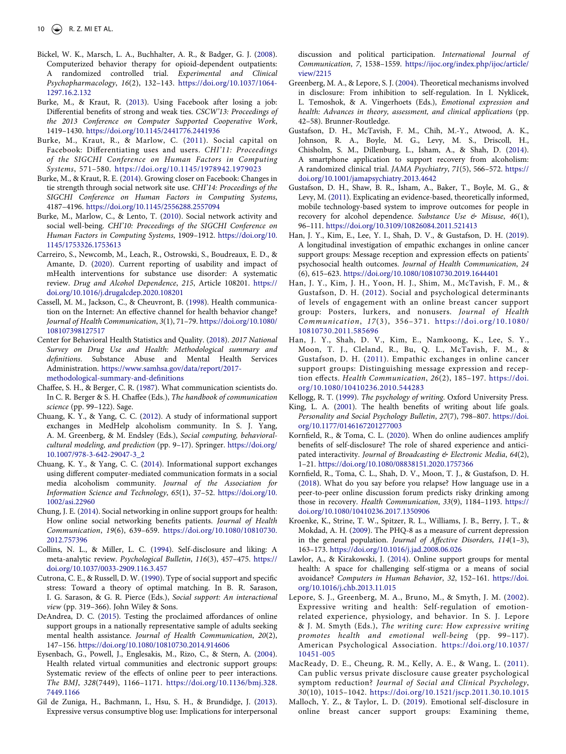- <span id="page-10-28"></span>Bickel, W. K., Marsch, L. A., Buchhalter, A. R., & Badger, G. J. ([2008](#page-5-1)). Computerized behavior therapy for opioid-dependent outpatients: A randomized controlled trial. *Experimental and Clinical Psychopharmacology*, *16*(2), 132–143. [https://doi.org/10.1037/1064-](https://doi.org/10.1037/1064-1297.16.2.132) [1297.16.2.132](https://doi.org/10.1037/1064-1297.16.2.132)
- <span id="page-10-26"></span>Burke, M., & Kraut, R. [\(2013](#page-4-4)). Using Facebook after losing a job: Differential benefits of strong and weak ties. *CSCW'13: Proceedings of the 2013 Conference on Computer Supported Cooperative Work*, 1419–1430. <https://doi.org/10.1145/2441776.2441936>
- <span id="page-10-11"></span>Burke, M., Kraut, R., & Marlow, C. ([2011](#page-2-2)). Social capital on Facebook: Differentiating uses and users. *CHI'11: Proceedings of the SIGCHI Conference on Human Factors in Computing Systems*, 571–580. <https://doi.org/10.1145/1978942.1979023>
- <span id="page-10-2"></span>Burke, M., & Kraut, R. E. ([2014\)](#page-1-4). Growing closer on Facebook: Changes in tie strength through social network site use. *CHI'14: Proceedings of the SIGCHI Conference on Human Factors in Computing Systems*, 4187–4196. <https://doi.org/10.1145/2556288.2557094>
- <span id="page-10-19"></span>Burke, M., Marlow, C., & Lento, T. ([2010](#page-3-2)). Social network activity and social well-being. *CHI'10: Proceedings of the SIGCHI Conference on Human Factors in Computing Systems*, 1909–1912. [https://doi.org/10.](https://doi.org/10.1145/1753326.1753613) [1145/1753326.1753613](https://doi.org/10.1145/1753326.1753613)
- <span id="page-10-6"></span>Carreiro, S., Newcomb, M., Leach, R., Ostrowski, S., Boudreaux, E. D., & Amante, D. ([2020](#page-2-3)). Current reporting of usability and impact of mHealth interventions for substance use disorder: A systematic review. *Drug and Alcohol Dependence*, *215*, Article 108201. [https://](https://doi.org/10.1016/j.drugalcdep.2020.108201) [doi.org/10.1016/j.drugalcdep.2020.108201](https://doi.org/10.1016/j.drugalcdep.2020.108201)
- <span id="page-10-31"></span>Cassell, M. M., Jackson, C., & Cheuvront, B. [\(1998](#page-7-3)). Health communication on the Internet: An effective channel for health behavior change? *Journal of Health Communication*, *3*(1), 71–79. [https://doi.org/10.1080/](https://doi.org/10.1080/108107398127517) [108107398127517](https://doi.org/10.1080/108107398127517)
- <span id="page-10-29"></span>Center for Behavioral Health Statistics and Quality. ([2018\)](#page-6-2). *2017 National Survey on Drug Use and Health: Methodological summary and definitions*. Substance Abuse and Mental Health Services Administration. [https://www.samhsa.gov/data/report/2017](https://www.samhsa.gov/data/report/2017-methodological-summary-and-definitions)  [methodological-summary-and-definitions](https://www.samhsa.gov/data/report/2017-methodological-summary-and-definitions)
- <span id="page-10-15"></span>Chaffee, S. H., & Berger, C. R. [\(1987](#page-3-3)). What communication scientists do. In C. R. Berger & S. H. Chaffee (Eds.), *The handbook of communication science* (pp. 99–122). Sage.
- <span id="page-10-20"></span>Chuang, K. Y., & Yang, C. C. ([2012\)](#page-3-4). A study of informational support exchanges in MedHelp alcoholism community. In S. J. Yang, A. M. Greenberg, & M. Endsley (Eds.), *Social computing, behavioralcultural modeling, and prediction* (pp. 9–17). Springer. [https://doi.org/](https://doi.org/10.1007/978-3-642-29047-3_2) [10.1007/978-3-642-29047-3\\_2](https://doi.org/10.1007/978-3-642-29047-3_2)
- <span id="page-10-1"></span>Chuang, K. Y., & Yang, C. C. ([2014](#page-1-5)). Informational support exchanges using different computer-mediated communication formats in a social media alcoholism community. *Journal of the Association for Information Science and Technology*, *65*(1), 37–52. [https://doi.org/10.](https://doi.org/10.1002/asi.22960)  [1002/asi.22960](https://doi.org/10.1002/asi.22960)
- <span id="page-10-18"></span>Chung, J. E. [\(2014](#page-3-5)). Social networking in online support groups for health: How online social networking benefits patients. *Journal of Health Communication*, *19*(6), 639–659. [https://doi.org/10.1080/10810730.](https://doi.org/10.1080/10810730.2012.757396) [2012.757396](https://doi.org/10.1080/10810730.2012.757396)
- <span id="page-10-24"></span>Collins, N. L., & Miller, L. C. ([1994](#page-4-5)). Self-disclosure and liking: A meta-analytic review. *Psychological Bulletin*, *116*(3), 457–475. [https://](https://doi.org/10.1037/0033-2909.116.3.457)  [doi.org/10.1037/0033-2909.116.3.457](https://doi.org/10.1037/0033-2909.116.3.457)
- <span id="page-10-25"></span>Cutrona, C. E., & Russell, D. W. [\(1990\)](#page-4-6). Type of social support and specific stress: Toward a theory of optimal matching. In B. R. Sarason, I. G. Sarason, & G. R. Pierce (Eds.), *Social support: An interactional view* (pp. 319–366). John Wiley & Sons.
- <span id="page-10-4"></span>DeAndrea, D. C. ([2015](#page-2-4)). Testing the proclaimed affordances of online support groups in a nationally representative sample of adults seeking mental health assistance. *Journal of Health Communication*, *20*(2), 147–156. <https://doi.org/10.1080/10810730.2014.914606>
- <span id="page-10-10"></span>Eysenbach, G., Powell, J., Englesakis, M., Rizo, C., & Stern, A. ([2004](#page-2-5)). Health related virtual communities and electronic support groups: Systematic review of the effects of online peer to peer interactions. *The BMJ*, *328*(7449), 1166–1171. [https://doi.org/10.1136/bmj.328.](https://doi.org/10.1136/bmj.328.7449.1166) [7449.1166](https://doi.org/10.1136/bmj.328.7449.1166)
- <span id="page-10-13"></span>Gil de Zuniga, H., Bachmann, I., Hsu, S. H., & Brundidge, J. ([2013](#page-2-6)). Expressive versus consumptive blog use: Implications for interpersonal

discussion and political participation. *International Journal of Communication*, *7*, 1538–1559. [https://ijoc.org/index.php/ijoc/article/](https://ijoc.org/index.php/ijoc/article/view/2215) [view/2215](https://ijoc.org/index.php/ijoc/article/view/2215)

- <span id="page-10-21"></span>Greenberg, M. A., & Lepore, S. J. ([2004](#page-4-7)). Theoretical mechanisms involved in disclosure: From inhibition to self-regulation. In I. Nyklicek, L. Temoshok, & A. Vingerhoets (Eds.), *Emotional expression and health: Advances in theory, assessment, and clinical applications* (pp. 42–58). Brunner-Routledge.
- <span id="page-10-7"></span>Gustafson, D. H., McTavish, F. M., Chih, M.-Y., Atwood, A. K., Johnson, R. A., Boyle, M. G., Levy, M. S., Driscoll, H., Chisholm, S. M., Dillenburg, L., Isham, A., & Shah, D. ([2014](#page-2-7)). A smartphone application to support recovery from alcoholism: A randomized clinical trial. *JAMA Psychiatry*, *71*(5), 566–572. [https://](https://doi.org/10.1001/jamapsychiatry.2013.4642)  [doi.org/10.1001/jamapsychiatry.2013.4642](https://doi.org/10.1001/jamapsychiatry.2013.4642)
- <span id="page-10-16"></span>Gustafson, D. H., Shaw, B. R., Isham, A., Baker, T., Boyle, M. G., & Levy, M. [\(2011\)](#page-3-6). Explicating an evidence-based, theoretically informed, mobile technology-based system to improve outcomes for people in recovery for alcohol dependence. *Substance Use & Misuse*, *46*(1), 96–111. <https://doi.org/10.3109/10826084.2011.521413>
- <span id="page-10-0"></span>Han, J. Y., Kim, E., Lee, Y. I., Shah, D. V., & Gustafson, D. H. ([2019](#page-1-6)). A longitudinal investigation of empathic exchanges in online cancer support groups: Message reception and expression effects on patients' psychosocial health outcomes. *Journal of Health Communication*, *24*  (6), 615–623. <https://doi.org/10.1080/10810730.2019.1644401>
- <span id="page-10-14"></span>Han, J. Y., Kim, J. H., Yoon, H. J., Shim, M., McTavish, F. M., & Gustafson, D. H. [\(2012](#page-2-8)). Social and psychological determinants of levels of engagement with an online breast cancer support group: Posters, lurkers, and nonusers. *Journal of Health Communication*, *17*(3), 356–371. [https://doi.org/10.1080/](https://doi.org/10.1080/10810730.2011.585696)  [10810730.2011.585696](https://doi.org/10.1080/10810730.2011.585696)
- <span id="page-10-8"></span>Han, J. Y., Shah, D. V., Kim, E., Namkoong, K., Lee, S. Y., Moon, T. J., Cleland, R., Bu, Q. L., McTavish, F. M., & Gustafson, D. H. ([2011\)](#page-2-9). Empathic exchanges in online cancer support groups: Distinguishing message expression and reception effects. *Health Communication*, *26*(2), 185–197. [https://doi.](https://doi.org/10.1080/10410236.2010.544283) [org/10.1080/10410236.2010.544283](https://doi.org/10.1080/10410236.2010.544283)
- <span id="page-10-12"></span>Kellogg, R. T. [\(1999\)](#page-2-9). *The psychology of writing*. Oxford University Press.
- <span id="page-10-23"></span>King, L. A. [\(2001\)](#page-4-8). The health benefits of writing about life goals. *Personality and Social Psychology Bulletin*, *27*(7), 798–807. [https://doi.](https://doi.org/10.1177/0146167201277003)  [org/10.1177/0146167201277003](https://doi.org/10.1177/0146167201277003)
- <span id="page-10-17"></span>Kornfield, R., & Toma, C. L. ([2020](#page-3-7)). When do online audiences amplify benefits of self-disclosure? The role of shared experience and anticipated interactivity. *Journal of Broadcasting & Electronic Media*, *64*(2), 1–21. <https://doi.org/10.1080/08838151.2020.1757366>
- <span id="page-10-3"></span>Kornfield, R., Toma, C. L., Shah, D. V., Moon, T. J., & Gustafson, D. H. ([2018](#page-2-10)). What do you say before you relapse? How language use in a peer-to-peer online discussion forum predicts risky drinking among those in recovery. *Health Communication*, *33*(9), 1184–1193. [https://](https://doi.org/10.1080/10410236.2017.1350906)  [doi.org/10.1080/10410236.2017.1350906](https://doi.org/10.1080/10410236.2017.1350906)
- <span id="page-10-30"></span>Kroenke, K., Strine, T. W., Spitzer, R. L., Williams, J. B., Berry, J. T., & Mokdad, A. H. ([2009\)](#page-6-3). The PHQ-8 as a measure of current depression in the general population. *Journal of Affective Disorders*, *114*(1–3), 163–173. <https://doi.org/10.1016/j.jad.2008.06.026>
- <span id="page-10-9"></span>Lawlor, A., & Kirakowski, J. ([2014\)](#page-2-11). Online support groups for mental health: A space for challenging self-stigma or a means of social avoidance? *Computers in Human Behavior*, *32*, 152–161. [https://doi.](https://doi.org/10.1016/j.chb.2013.11.015)  [org/10.1016/j.chb.2013.11.015](https://doi.org/10.1016/j.chb.2013.11.015)
- <span id="page-10-22"></span>Lepore, S. J., Greenberg, M. A., Bruno, M., & Smyth, J. M. ([2002\)](#page-4-9). Expressive writing and health: Self-regulation of emotionrelated experience, physiology, and behavior. In S. J. Lepore & J. M. Smyth (Eds.), *The writing cure: How expressive writing promotes health and emotional well-being* (pp. 99–117). American Psychological Association. [https://doi.org/10.1037/](https://doi.org/10.1037/10451-005) [10451-005](https://doi.org/10.1037/10451-005)
- <span id="page-10-27"></span>MacReady, D. E., Cheung, R. M., Kelly, A. E., & Wang, L. ([2011\)](#page-5-2). Can public versus private disclosure cause greater psychological symptom reduction? *Journal of Social and Clinical Psychology*, *30*(10), 1015–1042. <https://doi.org/10.1521/jscp.2011.30.10.1015>
- <span id="page-10-5"></span>Malloch, Y. Z., & Taylor, L. D. [\(2019](#page-2-12)). Emotional self-disclosure in online breast cancer support groups: Examining theme,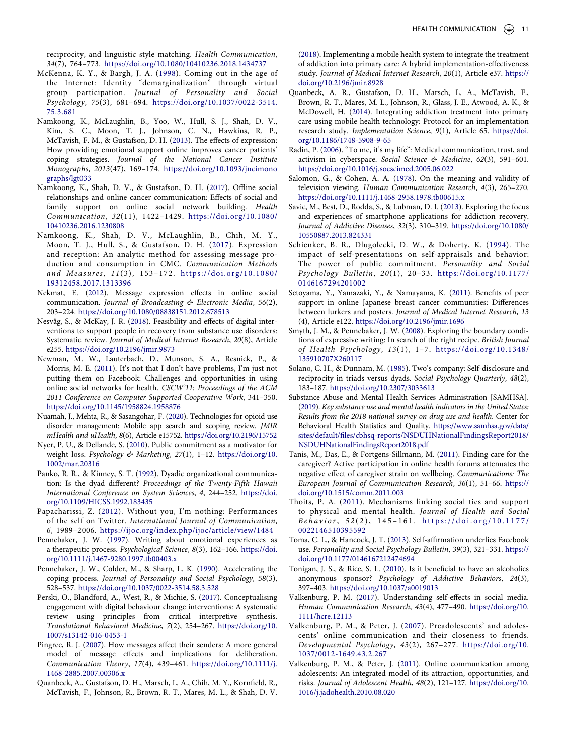reciprocity, and linguistic style matching. *Health Communication*, *34*(7), 764–773. <https://doi.org/10.1080/10410236.2018.1434737>

- <span id="page-11-13"></span>McKenna, K. Y., & Bargh, J. A. ([1998](#page-3-8)). Coming out in the age of the Internet: Identity "demarginalization" through virtual group participation. *Journal of Personality and Social Psychology*, *75*(3), 681–694. [https://doi.org/10.1037/0022-3514.](https://doi.org/10.1037/0022-3514.75.3.681) [75.3.681](https://doi.org/10.1037/0022-3514.75.3.681)
- <span id="page-11-9"></span>Namkoong, K., McLaughlin, B., Yoo, W., Hull, S. J., Shah, D. V., Kim, S. C., Moon, T. J., Johnson, C. N., Hawkins, R. P., McTavish, F. M., & Gustafson, D. H. ([2013](#page-2-13)). The effects of expression: How providing emotional support online improves cancer patients' coping strategies. *Journal of the National Cancer Institute Monographs*, *2013*(47), 169–174. [https://doi.org/10.1093/jncimono](https://doi.org/10.1093/jncimonographs/lgt033) [graphs/lgt033](https://doi.org/10.1093/jncimonographs/lgt033)
- <span id="page-11-15"></span>Namkoong, K., Shah, D. V., & Gustafson, D. H. ([2017](#page-3-9)). Offline social relationships and online cancer communication: Effects of social and family support on online social network building. *Health Communication*, *32*(11), 1422–1429. [https://doi.org/10.1080/](https://doi.org/10.1080/10410236.2016.1230808)  [10410236.2016.1230808](https://doi.org/10.1080/10410236.2016.1230808)
- <span id="page-11-1"></span>Namkoong, K., Shah, D. V., McLaughlin, B., Chih, M. Y., Moon, T. J., Hull, S., & Gustafson, D. H. ([2017](#page-1-6)). Expression and reception: An analytic method for assessing message production and consumption in CMC. *Communication Methods and Measures*, *11*(3), 153–172. [https://doi.org/10.1080/](https://doi.org/10.1080/19312458.2017.1313396)  [19312458.2017.1313396](https://doi.org/10.1080/19312458.2017.1313396)
- <span id="page-11-11"></span>Nekmat, E. [\(2012\)](#page-2-14). Message expression effects in online social communication. *Journal of Broadcasting & Electronic Media*, *56*(2), 203–224. <https://doi.org/10.1080/08838151.2012.678513>
- <span id="page-11-3"></span>Nesvåg, S., & McKay, J. R. [\(2018](#page-2-15)). Feasibility and effects of digital interventions to support people in recovery from substance use disorders: Systematic review. *Journal of Medical Internet Research*, *20*(8), Article e255. <https://doi.org/10.2196/jmir.9873>
- <span id="page-11-27"></span>Newman, M. W., Lauterbach, D., Munson, S. A., Resnick, P., & Morris, M. E. ([2011\)](#page-5-3). It's not that I don't have problems, I'm just not putting them on Facebook: Challenges and opportunities in using online social networks for health. *CSCW'11: Proceedings of the ACM 2011 Conference on Computer Supported Cooperative Work*, 341–350. <https://doi.org/10.1145/1958824.1958876>
- <span id="page-11-5"></span>Nuamah, J., Mehta, R., & Sasangohar, F. [\(2020\)](#page-2-16). Technologies for opioid use disorder management: Mobile app search and scoping review. *JMIR mHealth and uHealth*, *8*(6), Article e15752. <https://doi.org/10.2196/15752>
- <span id="page-11-26"></span>Nyer, P. U., & Dellande, S. ([2010](#page-5-4)). Public commitment as a motivator for weight loss. *Psychology & Marketing*, *27*(1), 1–12. [https://doi.org/10.](https://doi.org/10.1002/mar.20316)  [1002/mar.20316](https://doi.org/10.1002/mar.20316)
- <span id="page-11-20"></span>Panko, R. R., & Kinney, S. T. [\(1992\)](#page-4-10). Dyadic organizational communication: Is the dyad different? *Proceedings of the Twenty-Fifth Hawaii International Conference on System Sciences*, *4*, 244–252. [https://doi.](https://doi.org/10.1109/HICSS.1992.183435)  [org/10.1109/HICSS.1992.183435](https://doi.org/10.1109/HICSS.1992.183435)
- <span id="page-11-16"></span>Papacharissi, Z. ([2012](#page-3-10)). Without you, I'm nothing: Performances of the self on Twitter. *International Journal of Communication*, *6*, 1989–2006. <https://ijoc.org/index.php/ijoc/article/view/1484>
- <span id="page-11-17"></span>Pennebaker, J. W. [\(1997\)](#page-3-11). Writing about emotional experiences as a therapeutic process. *Psychological Science*, *8*(3), 162–166. [https://doi.](https://doi.org/10.1111/j.1467-9280.1997.tb00403.x) [org/10.1111/j.1467-9280.1997.tb00403.x](https://doi.org/10.1111/j.1467-9280.1997.tb00403.x)
- <span id="page-11-19"></span>Pennebaker, J. W., Colder, M., & Sharp, L. K. ([1990\)](#page-4-11). Accelerating the coping process. *Journal of Personality and Social Psychology*, *58*(3), 528–537. <https://doi.org/10.1037/0022-3514.58.3.528>
- <span id="page-11-8"></span>Perski, O., Blandford, A., West, R., & Michie, S. ([2017\)](#page-2-17). Conceptualising engagement with digital behaviour change interventions: A systematic review using principles from critical interpretive synthesis. *Translational Behavioral Medicine*, *7*(2), 254–267. [https://doi.org/10.](https://doi.org/10.1007/s13142-016-0453-1)  [1007/s13142-016-0453-1](https://doi.org/10.1007/s13142-016-0453-1)
- <span id="page-11-0"></span>Pingree, R. J. ([2007](#page-1-7)). How messages affect their senders: A more general model of message effects and implications for deliberation. *Communication Theory*, *17*(4), 439–461. [https://doi.org/10.1111/j.](https://doi.org/10.1111/j.1468-2885.2007.00306.x) [1468-2885.2007.00306.x](https://doi.org/10.1111/j.1468-2885.2007.00306.x)
- <span id="page-11-6"></span>Quanbeck, A., Gustafson, D. H., Marsch, L. A., Chih, M. Y., Kornfield, R., McTavish, F., Johnson, R., Brown, R. T., Mares, M. L., & Shah, D. V.

([2018](#page-2-16)). Implementing a mobile health system to integrate the treatment of addiction into primary care: A hybrid implementation-effectiveness study. *Journal of Medical Internet Research*, *20*(1), Article e37. [https://](https://doi.org/10.2196/jmir.8928)  [doi.org/10.2196/jmir.8928](https://doi.org/10.2196/jmir.8928)

- <span id="page-11-31"></span>Quanbeck, A. R., Gustafson, D. H., Marsch, L. A., McTavish, F., Brown, R. T., Mares, M. L., Johnson, R., Glass, J. E., Atwood, A. K., & McDowell, H. [\(2014\)](#page-5-5). Integrating addiction treatment into primary care using mobile health technology: Protocol for an implementation research study. *Implementation Science*, *9*(1), Article 65. [https://doi.](https://doi.org/10.1186/1748-5908-9-65) [org/10.1186/1748-5908-9-65](https://doi.org/10.1186/1748-5908-9-65)
- <span id="page-11-29"></span>Radin, P. [\(2006](#page-5-6)). "To me, it's my life": Medical communication, trust, and activism in cyberspace. *Social Science & Medicine*, *62*(3), 591–601. <https://doi.org/10.1016/j.socscimed.2005.06.022>
- <span id="page-11-7"></span>Salomon, G., & Cohen, A. A. ([1978](#page-2-18)). On the meaning and validity of television viewing. *Human Communication Research*, *4*(3), 265–270. <https://doi.org/10.1111/j.1468-2958.1978.tb00615.x>
- <span id="page-11-4"></span>Savic, M., Best, D., Rodda, S., & Lubman, D. I. [\(2013](#page-2-10)). Exploring the focus and experiences of smartphone applications for addiction recovery. *Journal of Addictive Diseases*, *32*(3), 310–319. [https://doi.org/10.1080/](https://doi.org/10.1080/10550887.2013.824331) [10550887.2013.824331](https://doi.org/10.1080/10550887.2013.824331)
- <span id="page-11-28"></span>Schienker, B. R., Dlugolecki, D. W., & Doherty, K. [\(1994](#page-5-7)). The impact of self-presentations on self-appraisals and behavior: The power of public commitment. *Personality and Social Psychology Bulletin*, *20*(1), 20–33. [https://doi.org/10.1177/](https://doi.org/10.1177/0146167294201002)  [0146167294201002](https://doi.org/10.1177/0146167294201002)
- <span id="page-11-12"></span>Setoyama, Y., Yamazaki, Y., & Namayama, K. [\(2011\)](#page-3-12). Benefits of peer support in online Japanese breast cancer communities: Differences between lurkers and posters. *Journal of Medical Internet Research*, *13*  (4), Article e122. <https://doi.org/10.2196/jmir.1696>
- <span id="page-11-18"></span>Smyth, J. M., & Pennebaker, J. W. ([2008](#page-4-12)). Exploring the boundary conditions of expressive writing: In search of the right recipe. *British Journal of Health Psychology*, *13*(1), 1–7. [https://doi.org/10.1348/](https://doi.org/10.1348/135910707X260117)  [135910707X260117](https://doi.org/10.1348/135910707X260117)
- <span id="page-11-21"></span>Solano, C. H., & Dunnam, M. [\(1985\)](#page-4-13). Two's company: Self-disclosure and reciprocity in triads versus dyads. *Social Psychology Quarterly*, *48*(2), 183–187. <https://doi.org/10.2307/3033613>
- <span id="page-11-2"></span>Substance Abuse and Mental Health Services Administration [SAMHSA]. ([2019](#page-2-19)). *Key substance use and mental health indicators in the United States: Results from the 2018 national survey on drug use and health*. Center for Behavioral Health Statistics and Quality. [https://www.samhsa.gov/data/](https://www.samhsa.gov/data/sites/default/files/cbhsq-reports/NSDUHNationalFindingsReport2018/NSDUHNationalFindingsReport2018.pdf)  [sites/default/files/cbhsq-reports/NSDUHNationalFindingsReport2018/](https://www.samhsa.gov/data/sites/default/files/cbhsq-reports/NSDUHNationalFindingsReport2018/NSDUHNationalFindingsReport2018.pdf)  [NSDUHNationalFindingsReport2018.pdf](https://www.samhsa.gov/data/sites/default/files/cbhsq-reports/NSDUHNationalFindingsReport2018/NSDUHNationalFindingsReport2018.pdf)
- <span id="page-11-14"></span>Tanis, M., Das, E., & Fortgens-Sillmann, M. ([2011\)](#page-3-13). Finding care for the caregiver? Active participation in online health forums attenuates the negative effect of caregiver strain on wellbeing. *Communications: The European Journal of Communication Research*, *36*(1), 51–66. [https://](https://doi.org/10.1515/comm.2011.003)  [doi.org/10.1515/comm.2011.003](https://doi.org/10.1515/comm.2011.003)
- <span id="page-11-25"></span>Thoits, P. A. ([2011](#page-4-14)). Mechanisms linking social ties and support to physical and mental health. *Journal of Health and Social Behavior*, *5 2* (2), 145–161. [https://doi.org/10.1177/](https://doi.org/10.1177/0022146510395592) [0022146510395592](https://doi.org/10.1177/0022146510395592)
- <span id="page-11-30"></span>Toma, C. L., & Hancock, J. T. ([2013\)](#page-5-8). Self-affirmation underlies Facebook use. *Personality and Social Psychology Bulletin*, *39*(3), 321–331. [https://](https://doi.org/10.1177/0146167212474694)  [doi.org/10.1177/0146167212474694](https://doi.org/10.1177/0146167212474694)
- <span id="page-11-22"></span>Tonigan, J. S., & Rice, S. L. [\(2010](#page-4-15)). Is it beneficial to have an alcoholics anonymous sponsor? *Psychology of Addictive Behaviors*, *24*(3), 397–403. <https://doi.org/10.1037/a0019013>
- <span id="page-11-10"></span>Valkenburg, P. M. ([2017](#page-2-13)). Understanding self-effects in social media. *Human Communication Research*, *43*(4), 477–490. [https://doi.org/10.](https://doi.org/10.1111/hcre.12113)  [1111/hcre.12113](https://doi.org/10.1111/hcre.12113)
- <span id="page-11-24"></span>Valkenburg, P. M., & Peter, J. ([2007\)](#page-4-16). Preadolescents' and adolescents' online communication and their closeness to friends. *Developmental Psychology*, *43*(2), 267–277. [https://doi.org/10.](https://doi.org/10.1037/0012-1649.43.2.267) [1037/0012-1649.43.2.267](https://doi.org/10.1037/0012-1649.43.2.267)
- <span id="page-11-23"></span>Valkenburg, P. M., & Peter, J. [\(2011\)](#page-4-17). Online communication among adolescents: An integrated model of its attraction, opportunities, and risks. *Journal of Adolescent Health*, *48*(2), 121–127. [https://doi.org/10.](https://doi.org/10.1016/j.jadohealth.2010.08.020)  [1016/j.jadohealth.2010.08.020](https://doi.org/10.1016/j.jadohealth.2010.08.020)